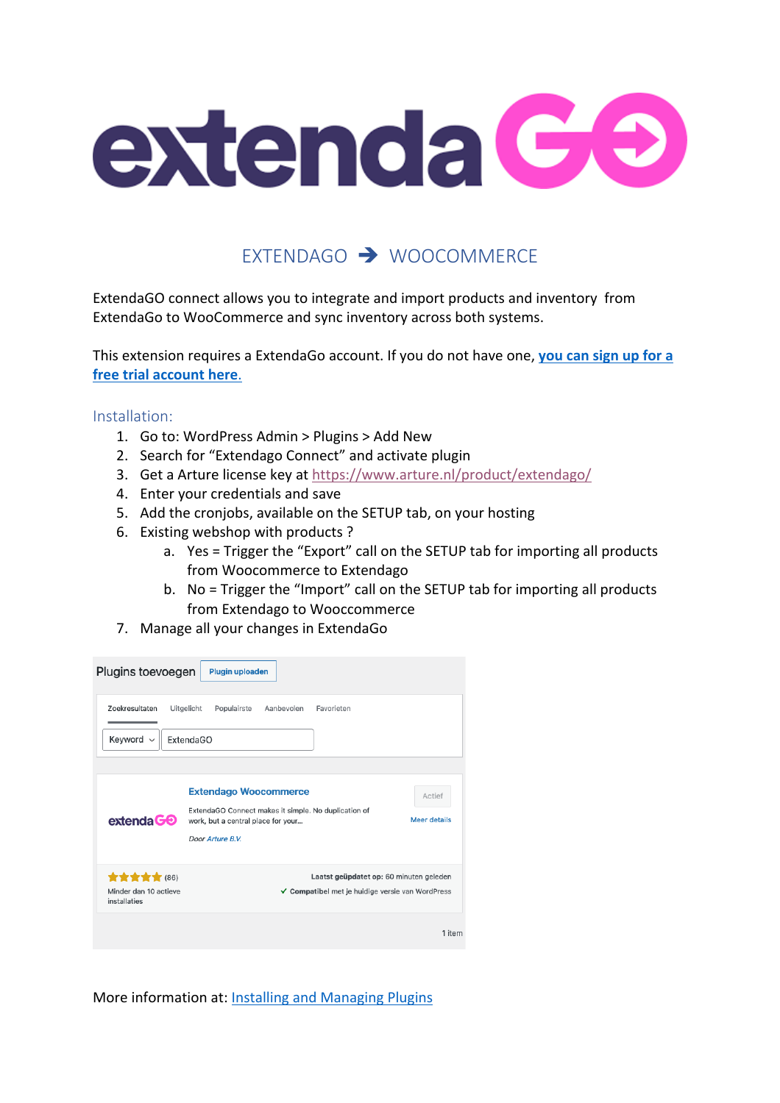

# EXTENDAGO  $\rightarrow$  WOOCOMMERCE

ExtendaGO connect allows you to integrate and import products and inventory from ExtendaGo to WooCommerce and sync inventory across both systems.

This extension requires a ExtendaGo account. If you do not have one, **you can sign up for a free trial account here**.

Installation:

- 1. Go to: WordPress Admin > Plugins > Add New
- 2. Search for "Extendago Connect" and activate plugin
- 3. Get a Arture license key at https://www.arture.nl/product/extendago/
- 4. Enter your credentials and save
- 5. Add the cronjobs, available on the SETUP tab, on your hosting
- 6. Existing webshop with products ?
	- a. Yes = Trigger the "Export" call on the SETUP tab for importing all products from Woocommerce to Extendago
	- b. No = Trigger the "Import" call on the SETUP tab for importing all products from Extendago to Wooccommerce
- 7. Manage all your changes in ExtendaGo

| Plugins toevoegen                               | Plugin uploaden                                                                                                                                |                               |  |  |  |  |
|-------------------------------------------------|------------------------------------------------------------------------------------------------------------------------------------------------|-------------------------------|--|--|--|--|
| Zoekresultaten<br>Keyword ~                     | Uitgelicht<br>Aanbevolen<br>Favorieten<br>Populairste<br>ExtendaGO                                                                             |                               |  |  |  |  |
| $ext{enda} \mathbf{G}\mathbf{\Theta}$           | <b>Extendago Woocommerce</b><br>ExtendaGO Connect makes it simple. No duplication of<br>work, but a central place for your<br>Door Arture B.V. | Actief<br><b>Meer details</b> |  |  |  |  |
| ******<br>Minder dan 10 actieve<br>installaties | Laatst geüpdatet op: 60 minuten geleden<br>✔ Compatibel met je huidige versie van WordPress                                                    |                               |  |  |  |  |
|                                                 |                                                                                                                                                | 1 item                        |  |  |  |  |

More information at: Installing and Managing Plugins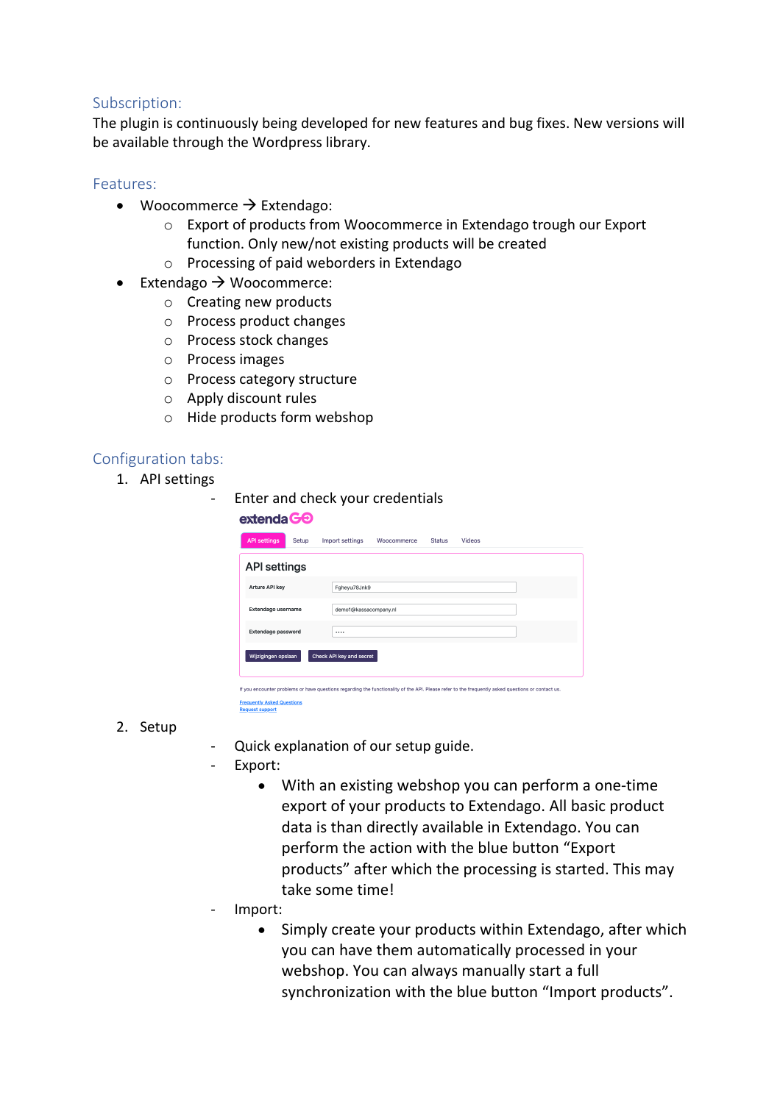### Subscription:

The plugin is continuously being developed for new features and bug fixes. New versions will be available through the Wordpress library.

### Features:

- Woocommerce  $\rightarrow$  Extendago:
	- o Export of products from Woocommerce in Extendago trough our Export function. Only new/not existing products will be created
	- o Processing of paid weborders in Extendago
- Extendago  $\rightarrow$  Woocommerce:
	- o Creating new products
	- o Process product changes
	- o Process stock changes
	- o Process images
	- o Process category structure
	- o Apply discount rules
	- o Hide products form webshop

### Configuration tabs:

1. API settings

| $ext{enda} \Theta$           | Enter and check your credentials                          |  |  |  |  |  |  |  |
|------------------------------|-----------------------------------------------------------|--|--|--|--|--|--|--|
| <b>API settings</b><br>Setup | Import settings<br>Videos<br>Woocommerce<br><b>Status</b> |  |  |  |  |  |  |  |
| <b>API settings</b>          |                                                           |  |  |  |  |  |  |  |
| Arture API key               | Fahevu78Jnk9                                              |  |  |  |  |  |  |  |
| Extendago username           | demo1@kassacompany.nl                                     |  |  |  |  |  |  |  |
| <b>Extendago password</b>    |                                                           |  |  |  |  |  |  |  |
| Wijzigingen opslaan          | Check API key and secret                                  |  |  |  |  |  |  |  |

you encounter problems or have questions regarding the functionality of the API. Please refer to the frequently asked questions or contact us. **Frequently Asked Questions**<br>Request support

#### 2. Setup

- Quick explanation of our setup guide.
- Export:
	- With an existing webshop you can perform a one-time export of your products to Extendago. All basic product data is than directly available in Extendago. You can perform the action with the blue button "Export products" after which the processing is started. This may take some time!
- Import:
	- Simply create your products within Extendago, after which you can have them automatically processed in your webshop. You can always manually start a full synchronization with the blue button "Import products".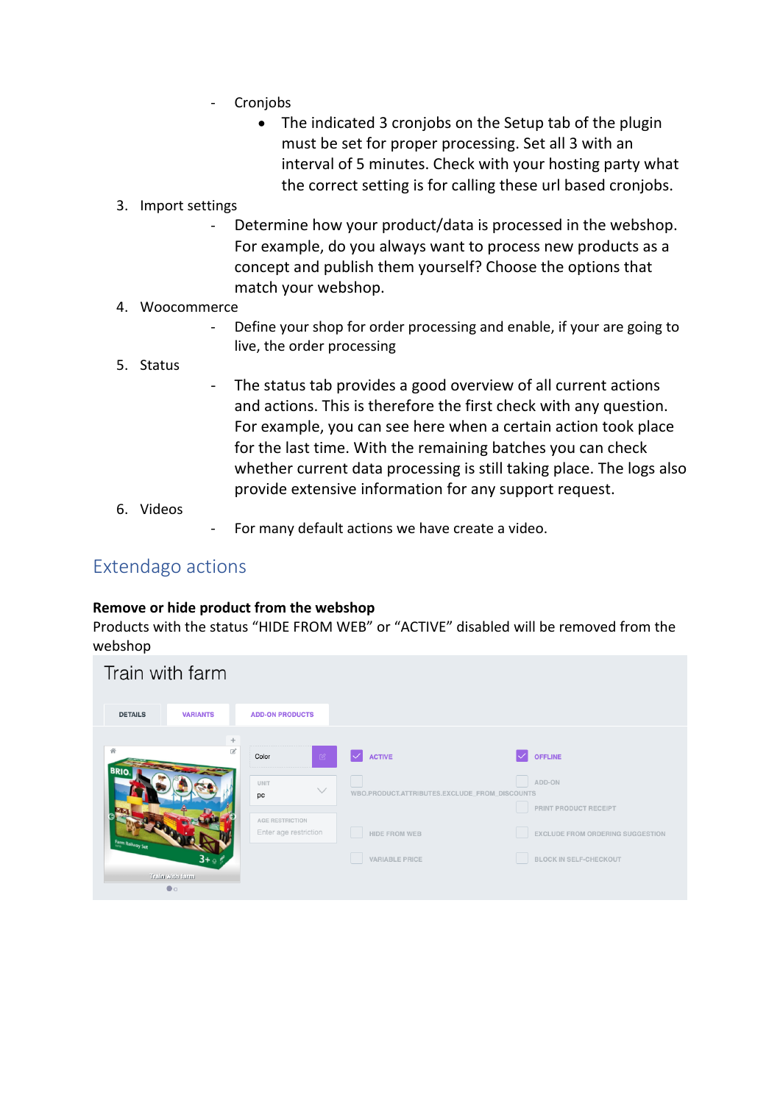- **Cronjobs** 
	- The indicated 3 cronjobs on the Setup tab of the plugin must be set for proper processing. Set all 3 with an interval of 5 minutes. Check with your hosting party what the correct setting is for calling these url based cronjobs.
- 3. Import settings
	- Determine how your product/data is processed in the webshop. For example, do you always want to process new products as a concept and publish them yourself? Choose the options that match your webshop.
- 4. Woocommerce
	- Define your shop for order processing and enable, if your are going to live, the order processing
- 5. Status
- The status tab provides a good overview of all current actions and actions. This is therefore the first check with any question. For example, you can see here when a certain action took place for the last time. With the remaining batches you can check whether current data processing is still taking place. The logs also provide extensive information for any support request.
- 6. Videos
- For many default actions we have create a video.

## Extendago actions

### **Remove or hide product from the webshop**

Products with the status "HIDE FROM WEB" or "ACTIVE" disabled will be removed from the webshop

| Train with farm  |                 |                        |              |                                               |                                  |
|------------------|-----------------|------------------------|--------------|-----------------------------------------------|----------------------------------|
| <b>DETAILS</b>   | <b>VARIANTS</b> | <b>ADD-ON PRODUCTS</b> |              |                                               |                                  |
|                  | $+$             |                        |              |                                               |                                  |
| 骨                | $\Box$          | Color                  | $\mathbb{Z}$ | <b>ACTIVE</b>                                 | <b>OFFLINE</b>                   |
| <b>BRIC</b>      |                 | <b>UNIT</b><br>pc      |              | WBO.PRODUCT.ATTRIBUTES.EXCLUDE_FROM_DISCOUNTS | ADD-ON                           |
|                  |                 | AGE RESTRICTION        |              |                                               | PRINT PRODUCT RECEIPT            |
| Farm Railway Set |                 | Enter age restriction  |              | HIDE FROM WEB                                 | EXCLUDE FROM ORDERING SUGGESTION |
|                  | 3+              |                        |              | VARIABLE PRICE                                | <b>BLOCK IN SELF-CHECKOUT</b>    |
|                  | Train with farm |                        |              |                                               |                                  |
|                  | $\bullet$       |                        |              |                                               |                                  |